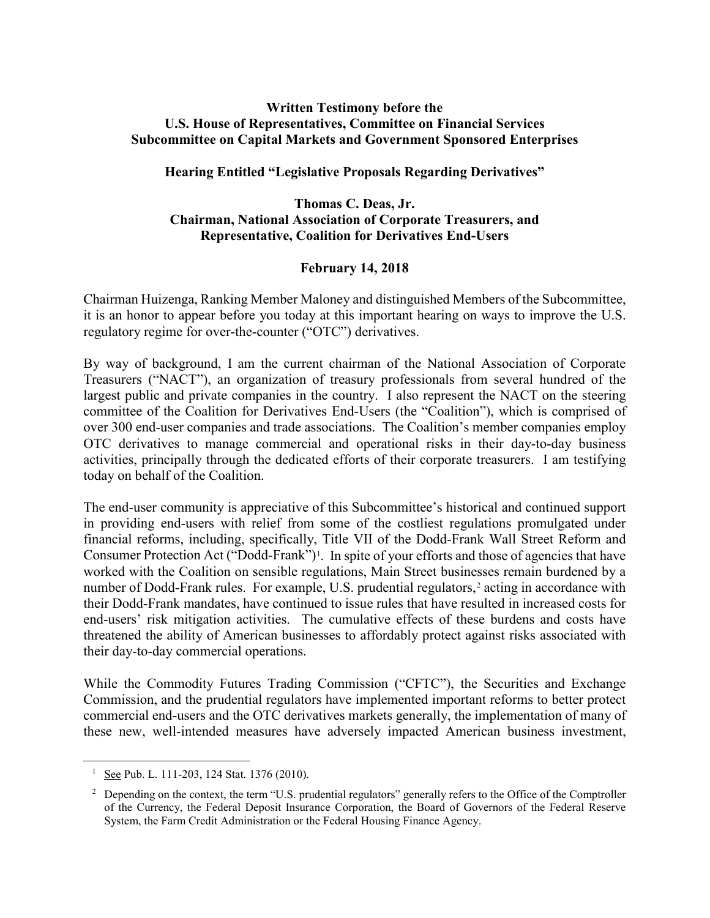#### **Written Testimony before the U.S. House of Representatives, Committee on Financial Services Subcommittee on Capital Markets and Government Sponsored Enterprises**

#### **Hearing Entitled "Legislative Proposals Regarding Derivatives"**

#### **Thomas C. Deas, Jr. Chairman, National Association of Corporate Treasurers, and Representative, Coalition for Derivatives End-Users**

#### **February 14, 2018**

Chairman Huizenga, Ranking Member Maloney and distinguished Members of the Subcommittee, it is an honor to appear before you today at this important hearing on ways to improve the U.S. regulatory regime for over-the-counter ("OTC") derivatives.

By way of background, I am the current chairman of the National Association of Corporate Treasurers ("NACT"), an organization of treasury professionals from several hundred of the largest public and private companies in the country. I also represent the NACT on the steering committee of the Coalition for Derivatives End-Users (the "Coalition"), which is comprised of over 300 end-user companies and trade associations. The Coalition's member companies employ OTC derivatives to manage commercial and operational risks in their day-to-day business activities, principally through the dedicated efforts of their corporate treasurers. I am testifying today on behalf of the Coalition.

The end-user community is appreciative of this Subcommittee's historical and continued support in providing end-users with relief from some of the costliest regulations promulgated under financial reforms, including, specifically, Title VII of the Dodd-Frank Wall Street Reform and Consumer Protection Act ("Dodd-Frank")<sup>[1](#page-0-0)</sup>. In spite of your efforts and those of agencies that have worked with the Coalition on sensible regulations, Main Street businesses remain burdened by a number of Dodd-Frank rules. For example, U.S. prudential regulators,<sup>[2](#page-0-1)</sup> acting in accordance with their Dodd-Frank mandates, have continued to issue rules that have resulted in increased costs for end-users' risk mitigation activities. The cumulative effects of these burdens and costs have threatened the ability of American businesses to affordably protect against risks associated with their day-to-day commercial operations.

While the Commodity Futures Trading Commission ("CFTC"), the Securities and Exchange Commission, and the prudential regulators have implemented important reforms to better protect commercial end-users and the OTC derivatives markets generally, the implementation of many of these new, well-intended measures have adversely impacted American business investment,

<span id="page-0-0"></span>See Pub. L. 111-203, 124 Stat. 1376 (2010).

<span id="page-0-1"></span><sup>&</sup>lt;sup>2</sup> Depending on the context, the term "U.S. prudential regulators" generally refers to the Office of the Comptroller of the Currency, the Federal Deposit Insurance Corporation, the Board of Governors of the Federal Reserve System, the Farm Credit Administration or the Federal Housing Finance Agency.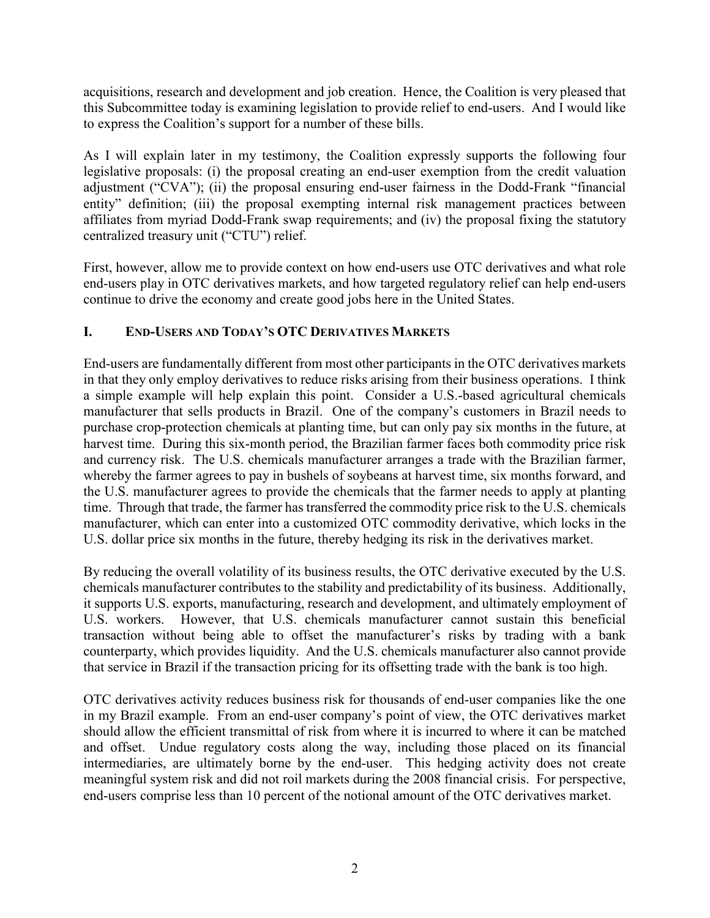acquisitions, research and development and job creation. Hence, the Coalition is very pleased that this Subcommittee today is examining legislation to provide relief to end-users. And I would like to express the Coalition's support for a number of these bills.

As I will explain later in my testimony, the Coalition expressly supports the following four legislative proposals: (i) the proposal creating an end-user exemption from the credit valuation adjustment ("CVA"); (ii) the proposal ensuring end-user fairness in the Dodd-Frank "financial entity" definition; (iii) the proposal exempting internal risk management practices between affiliates from myriad Dodd-Frank swap requirements; and (iv) the proposal fixing the statutory centralized treasury unit ("CTU") relief.

First, however, allow me to provide context on how end-users use OTC derivatives and what role end-users play in OTC derivatives markets, and how targeted regulatory relief can help end-users continue to drive the economy and create good jobs here in the United States.

### **I. END-USERS AND TODAY'S OTC DERIVATIVES MARKETS**

End-users are fundamentally different from most other participants in the OTC derivatives markets in that they only employ derivatives to reduce risks arising from their business operations. I think a simple example will help explain this point. Consider a U.S.-based agricultural chemicals manufacturer that sells products in Brazil. One of the company's customers in Brazil needs to purchase crop-protection chemicals at planting time, but can only pay six months in the future, at harvest time. During this six-month period, the Brazilian farmer faces both commodity price risk and currency risk. The U.S. chemicals manufacturer arranges a trade with the Brazilian farmer, whereby the farmer agrees to pay in bushels of soybeans at harvest time, six months forward, and the U.S. manufacturer agrees to provide the chemicals that the farmer needs to apply at planting time. Through that trade, the farmer has transferred the commodity price risk to the U.S. chemicals manufacturer, which can enter into a customized OTC commodity derivative, which locks in the U.S. dollar price six months in the future, thereby hedging its risk in the derivatives market.

By reducing the overall volatility of its business results, the OTC derivative executed by the U.S. chemicals manufacturer contributes to the stability and predictability of its business. Additionally, it supports U.S. exports, manufacturing, research and development, and ultimately employment of U.S. workers. However, that U.S. chemicals manufacturer cannot sustain this beneficial transaction without being able to offset the manufacturer's risks by trading with a bank counterparty, which provides liquidity. And the U.S. chemicals manufacturer also cannot provide that service in Brazil if the transaction pricing for its offsetting trade with the bank is too high.

OTC derivatives activity reduces business risk for thousands of end-user companies like the one in my Brazil example. From an end-user company's point of view, the OTC derivatives market should allow the efficient transmittal of risk from where it is incurred to where it can be matched and offset. Undue regulatory costs along the way, including those placed on its financial intermediaries, are ultimately borne by the end-user. This hedging activity does not create meaningful system risk and did not roil markets during the 2008 financial crisis. For perspective, end-users comprise less than 10 percent of the notional amount of the OTC derivatives market.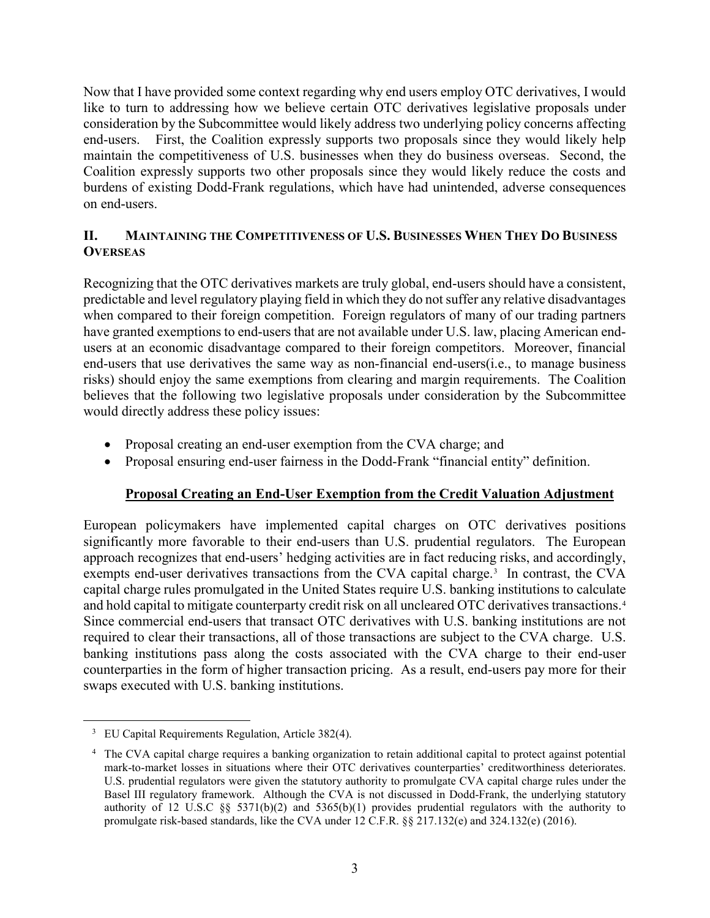Now that I have provided some context regarding why end users employ OTC derivatives, I would like to turn to addressing how we believe certain OTC derivatives legislative proposals under consideration by the Subcommittee would likely address two underlying policy concerns affecting end-users. First, the Coalition expressly supports two proposals since they would likely help maintain the competitiveness of U.S. businesses when they do business overseas. Second, the Coalition expressly supports two other proposals since they would likely reduce the costs and burdens of existing Dodd-Frank regulations, which have had unintended, adverse consequences on end-users.

#### **II. MAINTAINING THE COMPETITIVENESS OF U.S. BUSINESSES WHEN THEY DO BUSINESS OVERSEAS**

Recognizing that the OTC derivatives markets are truly global, end-users should have a consistent, predictable and level regulatory playing field in which they do not suffer any relative disadvantages when compared to their foreign competition. Foreign regulators of many of our trading partners have granted exemptions to end-users that are not available under U.S. law, placing American endusers at an economic disadvantage compared to their foreign competitors. Moreover, financial end-users that use derivatives the same way as non-financial end-users(i.e., to manage business risks) should enjoy the same exemptions from clearing and margin requirements. The Coalition believes that the following two legislative proposals under consideration by the Subcommittee would directly address these policy issues:

- Proposal creating an end-user exemption from the CVA charge; and
- Proposal ensuring end-user fairness in the Dodd-Frank "financial entity" definition.

## **Proposal Creating an End-User Exemption from the Credit Valuation Adjustment**

European policymakers have implemented capital charges on OTC derivatives positions significantly more favorable to their end-users than U.S. prudential regulators. The European approach recognizes that end-users' hedging activities are in fact reducing risks, and accordingly, exempts end-user derivatives transactions from the CVA capital charge.<sup>[3](#page-2-0)</sup> In contrast, the CVA capital charge rules promulgated in the United States require U.S. banking institutions to calculate and hold capital to mitigate counterparty credit risk on all uncleared OTC derivatives transactions.[4](#page-2-1) Since commercial end-users that transact OTC derivatives with U.S. banking institutions are not required to clear their transactions, all of those transactions are subject to the CVA charge. U.S. banking institutions pass along the costs associated with the CVA charge to their end-user counterparties in the form of higher transaction pricing. As a result, end-users pay more for their swaps executed with U.S. banking institutions.

<span id="page-2-0"></span><sup>&</sup>lt;sup>3</sup> EU Capital Requirements Regulation, Article 382(4).

<span id="page-2-1"></span><sup>4</sup> The CVA capital charge requires a banking organization to retain additional capital to protect against potential mark-to-market losses in situations where their OTC derivatives counterparties' creditworthiness deteriorates. U.S. prudential regulators were given the statutory authority to promulgate CVA capital charge rules under the Basel III regulatory framework. Although the CVA is not discussed in Dodd-Frank, the underlying statutory authority of 12 U.S.C  $\&$  5371(b)(2) and 5365(b)(1) provides prudential regulators with the authority to promulgate risk-based standards, like the CVA under 12 C.F.R. §§ 217.132(e) and 324.132(e) (2016).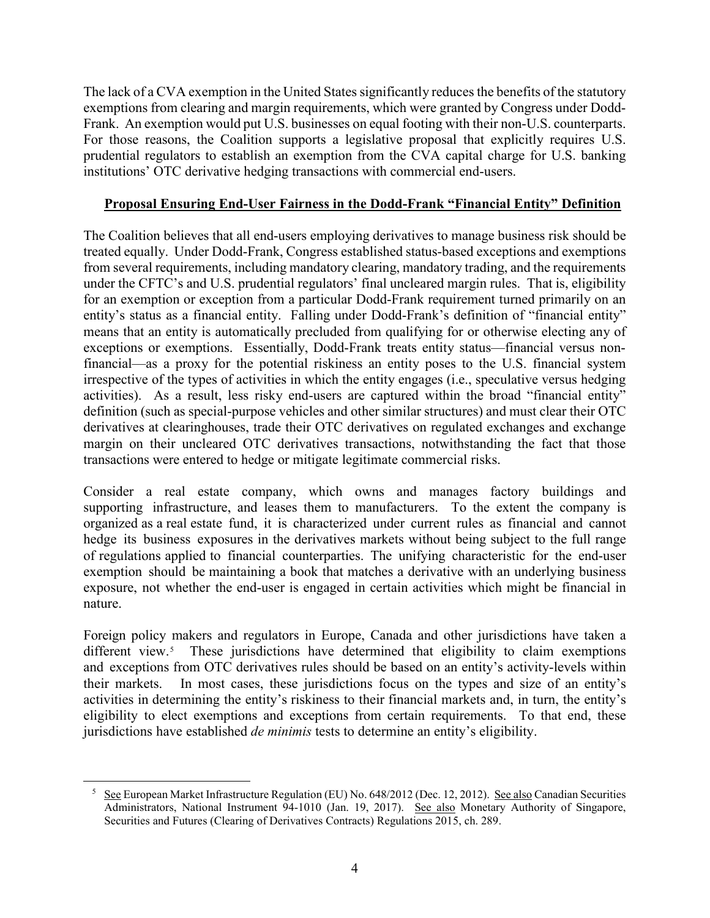The lack of a CVA exemption in the United States significantly reduces the benefits of the statutory exemptions from clearing and margin requirements, which were granted by Congress under Dodd-Frank. An exemption would put U.S. businesses on equal footing with their non-U.S. counterparts. For those reasons, the Coalition supports a legislative proposal that explicitly requires U.S. prudential regulators to establish an exemption from the CVA capital charge for U.S. banking institutions' OTC derivative hedging transactions with commercial end-users.

#### **Proposal Ensuring End-User Fairness in the Dodd-Frank "Financial Entity" Definition**

The Coalition believes that all end-users employing derivatives to manage business risk should be treated equally. Under Dodd-Frank, Congress established status-based exceptions and exemptions from several requirements, including mandatory clearing, mandatory trading, and the requirements under the CFTC's and U.S. prudential regulators' final uncleared margin rules. That is, eligibility for an exemption or exception from a particular Dodd-Frank requirement turned primarily on an entity's status as a financial entity. Falling under Dodd-Frank's definition of "financial entity" means that an entity is automatically precluded from qualifying for or otherwise electing any of exceptions or exemptions. Essentially, Dodd-Frank treats entity status—financial versus nonfinancial—as a proxy for the potential riskiness an entity poses to the U.S. financial system irrespective of the types of activities in which the entity engages (i.e., speculative versus hedging activities). As a result, less risky end-users are captured within the broad "financial entity" definition (such as special-purpose vehicles and other similar structures) and must clear their OTC derivatives at clearinghouses, trade their OTC derivatives on regulated exchanges and exchange margin on their uncleared OTC derivatives transactions, notwithstanding the fact that those transactions were entered to hedge or mitigate legitimate commercial risks.

Consider a real estate company, which owns and manages factory buildings and supporting infrastructure, and leases them to manufacturers. To the extent the company is organized as a real estate fund, it is characterized under current rules as financial and cannot hedge its business exposures in the derivatives markets without being subject to the full range of regulations applied to financial counterparties. The unifying characteristic for the end-user exemption should be maintaining a book that matches a derivative with an underlying business exposure, not whether the end-user is engaged in certain activities which might be financial in nature.

Foreign policy makers and regulators in Europe, Canada and other jurisdictions have taken a different view.<sup>5</sup> These jurisdictions have determined that eligibility to claim exemptions and exception[s](#page-3-0) from OTC derivatives rules should be based on an entity's activity-levels within their markets. In most cases, these jurisdictions focus on the types and size of an entity's activities in determining the entity's riskiness to their financial markets and, in turn, the entity's eligibility to elect exemptions and exceptions from certain requirements. To that end, these jurisdictions have established *de minimis* tests to determine an entity's eligibility.

<span id="page-3-0"></span><sup>5</sup> See European Market Infrastructure Regulation (EU) No. 648/2012 (Dec. 12, 2012). See also Canadian Securities Administrators, National Instrument 94-1010 (Jan. 19, 2017). See also Monetary Authority of Singapore, Securities and Futures (Clearing of Derivatives Contracts) Regulations 2015, ch. 289.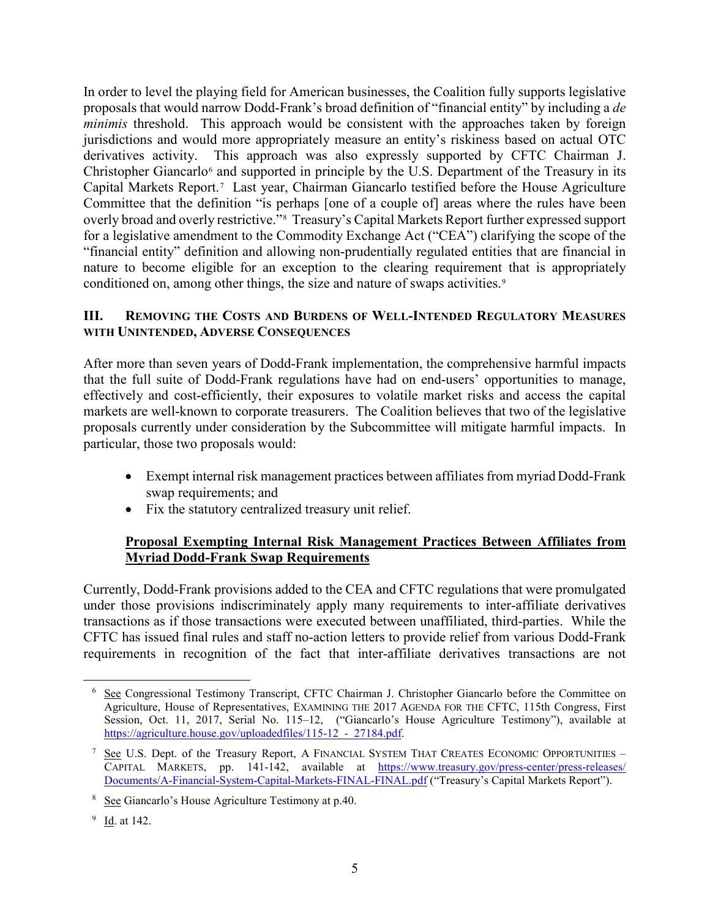In order to level the playing field for American businesses, the Coalition fully supports legislative proposals that would narrow Dodd-Frank's broad definition of "financial entity" by including a *de minimis* threshold. This approach would be consistent with the approaches taken by foreign jurisdictions and would more appropriately measure an entity's riskiness based on actual OTC derivatives activity. This approach was also expressly supported by CFTC Chairman J. Christopher Giancarlo<sup>[6](#page-4-0)</sup> and supported in principle by the U.S. Department of the Treasury in its Capital Markets Report.<sup>[7](#page-4-1)</sup> Last year, Chairman Giancarlo testified before the House Agriculture Committee that the definition "is perhaps [one of a couple of] areas where the rules have been overly broad and overly restrictive."<sup>[8](#page-4-2)</sup> Treasury's Capital Markets Report further expressed support for a legislative amendment to the Commodity Exchange Act ("CEA") clarifying the scope of the "financial entity" definition and allowing non-prudentially regulated entities that are financial in nature to become eligible for an exception to the clearing requirement that is appropriately conditioned on, among other things, the size and nature of swaps activities.<sup>[9](#page-4-3)</sup>

#### **III. REMOVING THE COSTS AND BURDENS OF WELL-INTENDED REGULATORY MEASURES WITH UNINTENDED, ADVERSE CONSEQUENCES**

After more than seven years of Dodd-Frank implementation, the comprehensive harmful impacts that the full suite of Dodd-Frank regulations have had on end-users' opportunities to manage, effectively and cost-efficiently, their exposures to volatile market risks and access the capital markets are well-known to corporate treasurers. The Coalition believes that two of the legislative proposals currently under consideration by the Subcommittee will mitigate harmful impacts. In particular, those two proposals would:

- Exempt internal risk management practices between affiliates from myriad Dodd-Frank swap requirements; and
- Fix the statutory centralized treasury unit relief.

## **Proposal Exempting Internal Risk Management Practices Between Affiliates from Myriad Dodd-Frank Swap Requirements**

Currently, Dodd-Frank provisions added to the CEA and CFTC regulations that were promulgated under those provisions indiscriminately apply many requirements to inter-affiliate derivatives transactions as if those transactions were executed between unaffiliated, third-parties. While the CFTC has issued final rules and staff no-action letters to provide relief from various Dodd-Frank requirements in recognition of the fact that inter-affiliate derivatives transactions are not

<span id="page-4-0"></span><sup>6</sup> See Congressional Testimony Transcript, CFTC Chairman J. Christopher Giancarlo before the Committee on Agriculture, House of Representatives, EXAMINING THE 2017 AGENDA FOR THE CFTC, 115th Congress, First Session, Oct. 11, 2017, Serial No. 115–12, ("Giancarlo's House Agriculture Testimony"), available at https://agriculture.house.gov/uploadedfiles/115-12 - 27184.pdf.

<span id="page-4-1"></span><sup>&</sup>lt;sup>7</sup> See U.S. Dept. of the Treasury Report, A FINANCIAL SYSTEM THAT CREATES ECONOMIC OPPORTUNITIES – CAPITAL MARKETS, pp. 141-142, available at [https://www.treasury.gov/press-center/press-releases/](https://www.treasury.gov/press-center/press-releases/Documents/A-Financial-System-Capital-Markets-FINAL-FINAL.pdf) [Documents/A-Financial-System-Capital-Markets-FINAL-FINAL.pdf](https://www.treasury.gov/press-center/press-releases/Documents/A-Financial-System-Capital-Markets-FINAL-FINAL.pdf) ("Treasury's Capital Markets Report").

<span id="page-4-2"></span><sup>&</sup>lt;sup>8</sup> See Giancarlo's House Agriculture Testimony at p.40.

<span id="page-4-3"></span><sup>9</sup> Id. at 142.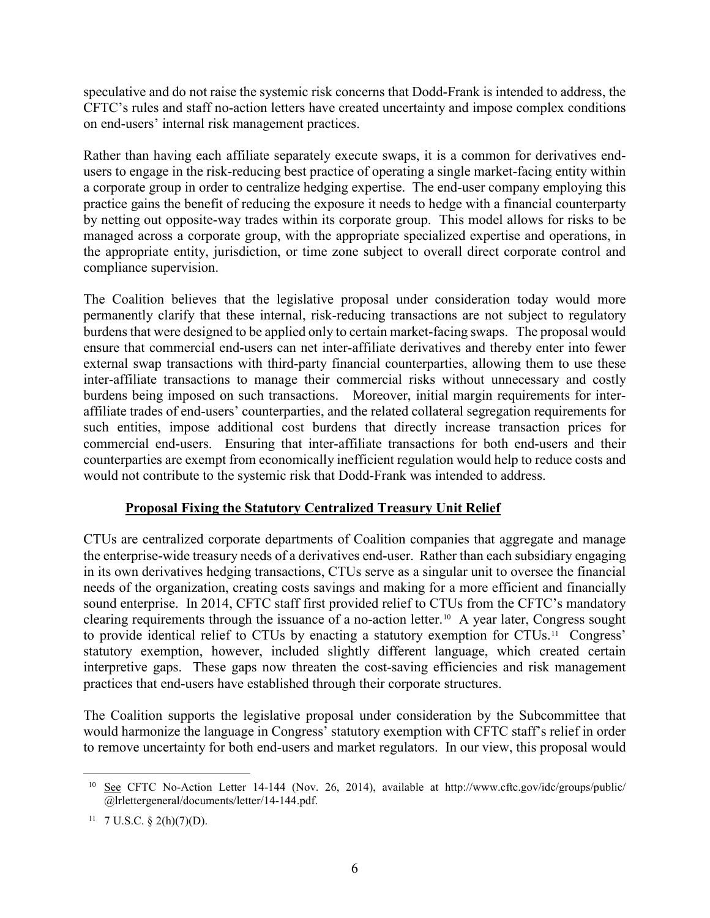speculative and do not raise the systemic risk concerns that Dodd-Frank is intended to address, the CFTC's rules and staff no-action letters have created uncertainty and impose complex conditions on end-users' internal risk management practices.

Rather than having each affiliate separately execute swaps, it is a common for derivatives endusers to engage in the risk-reducing best practice of operating a single market-facing entity within a corporate group in order to centralize hedging expertise. The end-user company employing this practice gains the benefit of reducing the exposure it needs to hedge with a financial counterparty by netting out opposite-way trades within its corporate group. This model allows for risks to be managed across a corporate group, with the appropriate specialized expertise and operations, in the appropriate entity, jurisdiction, or time zone subject to overall direct corporate control and compliance supervision.

The Coalition believes that the legislative proposal under consideration today would more permanently clarify that these internal, risk-reducing transactions are not subject to regulatory burdens that were designed to be applied only to certain market-facing swaps. The proposal would ensure that commercial end-users can net inter-affiliate derivatives and thereby enter into fewer external swap transactions with third-party financial counterparties, allowing them to use these inter-affiliate transactions to manage their commercial risks without unnecessary and costly burdens being imposed on such transactions. Moreover, initial margin requirements for interaffiliate trades of end-users' counterparties, and the related collateral segregation requirements for such entities, impose additional cost burdens that directly increase transaction prices for commercial end-users. Ensuring that inter-affiliate transactions for both end-users and their counterparties are exempt from economically inefficient regulation would help to reduce costs and would not contribute to the systemic risk that Dodd-Frank was intended to address.

#### **Proposal Fixing the Statutory Centralized Treasury Unit Relief**

CTUs are centralized corporate departments of Coalition companies that aggregate and manage the enterprise-wide treasury needs of a derivatives end-user. Rather than each subsidiary engaging in its own derivatives hedging transactions, CTUs serve as a singular unit to oversee the financial needs of the organization, creating costs savings and making for a more efficient and financially sound enterprise. In 2014, CFTC staff first provided relief to CTUs from the CFTC's mandatory clearing requirements through the issuance of a no-action letter.<sup>10</sup> A year later, Congress sought to provide identical relief to CTUs by enacting a statutory exemption for CTUs.[11](#page-5-1) Congress' statutory exemption, however, included slightly different language, which created certain interpretive gaps. These gaps now threaten the cost-saving efficiencies and risk management practices that end-users have established through their corporate structures.

The Coalition supports the legislative proposal under consideration by the Subcommittee that would harmonize the language in Congress' statutory exemption with CFTC staff's relief in order to remove uncertainty for both end-users and market regulators. In our view, this proposal would

<span id="page-5-0"></span><sup>&</sup>lt;sup>10</sup> See CFTC No-Action Letter 14-144 (Nov. 26, 2014), available at http://www.cftc.gov/idc/groups/public/ @lrlettergeneral/documents/letter/14-144.pdf.

<span id="page-5-1"></span> $11$  7 U.S.C. § 2(h)(7)(D).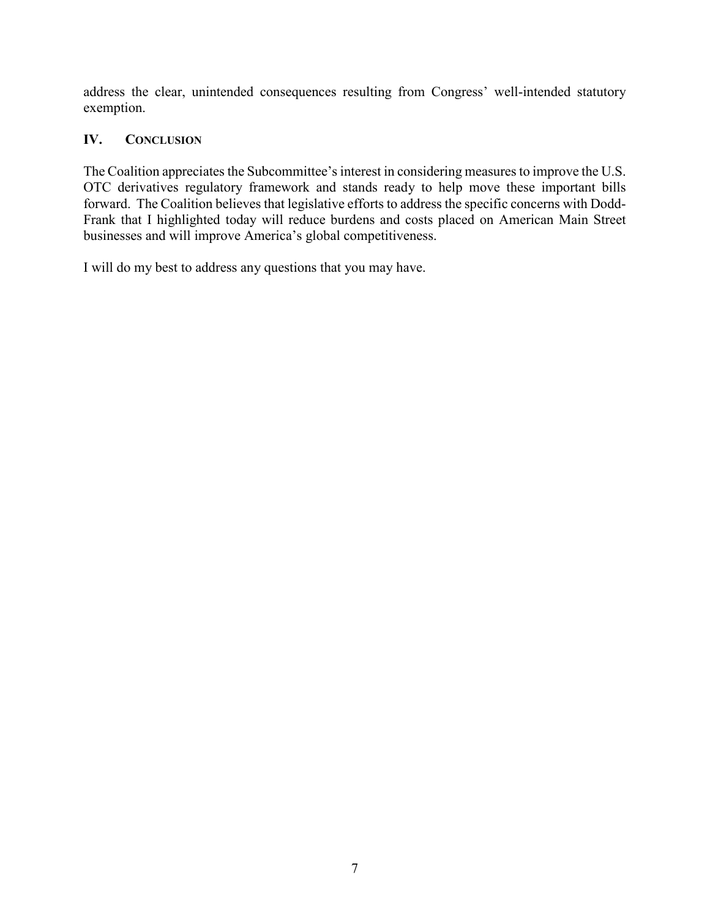address the clear, unintended consequences resulting from Congress' well-intended statutory exemption.

#### **IV. CONCLUSION**

The Coalition appreciates the Subcommittee's interest in considering measures to improve the U.S. OTC derivatives regulatory framework and stands ready to help move these important bills forward. The Coalition believes that legislative efforts to address the specific concerns with Dodd-Frank that I highlighted today will reduce burdens and costs placed on American Main Street businesses and will improve America's global competitiveness.

I will do my best to address any questions that you may have.